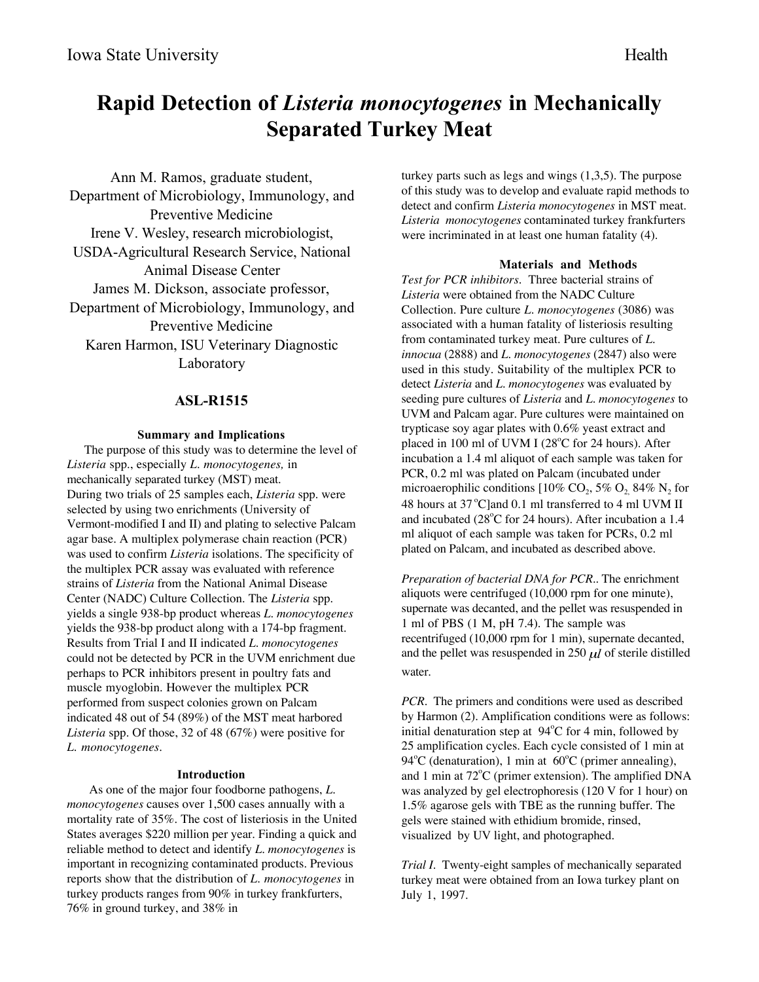# **Rapid Detection of** *Listeria monocytogenes* **in Mechanically Separated Turkey Meat**

Ann M. Ramos, graduate student, Department of Microbiology, Immunology, and Preventive Medicine Irene V. Wesley, research microbiologist, USDA-Agricultural Research Service, National Animal Disease Center James M. Dickson, associate professor, Department of Microbiology, Immunology, and Preventive Medicine Karen Harmon, ISU Veterinary Diagnostic Laboratory

## **ASL-R1515**

### **Summary and Implications**

The purpose of this study was to determine the level of *Listeria* spp., especially *L. monocytogenes,* in mechanically separated turkey (MST) meat. During two trials of 25 samples each, *Listeria* spp. were selected by using two enrichments (University of Vermont-modified I and II) and plating to selective Palcam agar base. A multiplex polymerase chain reaction (PCR) was used to confirm *Listeria* isolations. The specificity of the multiplex PCR assay was evaluated with reference strains of *Listeria* from the National Animal Disease Center (NADC) Culture Collection. The *Listeria* spp. yields a single 938-bp product whereas *L. monocytogenes* yields the 938-bp product along with a 174-bp fragment. Results from Trial I and II indicated *L. monocytogenes* could not be detected by PCR in the UVM enrichment due perhaps to PCR inhibitors present in poultry fats and muscle myoglobin. However the multiplex PCR performed from suspect colonies grown on Palcam indicated 48 out of 54 (89%) of the MST meat harbored *Listeria* spp*.* Of those, 32 of 48 (67%) were positive for *L. monocytogenes.*

## **Introduction**

As one of the major four foodborne pathogens, *L. monocytogenes* causes over 1,500 cases annually with a mortality rate of 35%. The cost of listeriosis in the United States averages \$220 million per year. Finding a quick and reliable method to detect and identify *L. monocytogenes* is important in recognizing contaminated products. Previous reports show that the distribution of *L. monocytogenes* in turkey products ranges from 90% in turkey frankfurters, 76% in ground turkey, and 38% in

turkey parts such as legs and wings (1,3,5). The purpose of this study was to develop and evaluate rapid methods to detect and confirm *Listeria monocytogenes* in MST meat. *Listeria monocytogenes* contaminated turkey frankfurters were incriminated in at least one human fatality (4).

#### **Materials and Methods**

*Test for PCR inhibitors*. Three bacterial strains of *Listeria* were obtained from the NADC Culture Collection. Pure culture *L. monocytogenes* (3086) was associated with a human fatality of listeriosis resulting from contaminated turkey meat. Pure cultures of *L. innocua* (2888) and *L. monocytogenes* (2847) also were used in this study. Suitability of the multiplex PCR to detect *Listeria* and *L. monocytogenes* was evaluated by seeding pure cultures of *Listeria* and *L. monocytogenes* to UVM and Palcam agar*.* Pure cultures were maintained on trypticase soy agar plates with 0.6% yeast extract and placed in 100 ml of UVM I (28°C for 24 hours). After incubation a 1.4 ml aliquot of each sample was taken for PCR, 0.2 ml was plated on Palcam (incubated under microaerophilic conditions  $[10\% \text{ CO}_2, 5\% \text{ O}_2, 84\% \text{ N}_2 \text{ for }$ 48 hours at  $37^{\circ}$ C and 0.1 ml transferred to 4 ml UVM II and incubated (28°C for 24 hours). After incubation a 1.4 ml aliquot of each sample was taken for PCRs, 0.2 ml plated on Palcam, and incubated as described above.

*Preparation of bacterial DNA for PCR..* The enrichment aliquots were centrifuged (10,000 rpm for one minute), supernate was decanted, and the pellet was resuspended in 1 ml of PBS (1 M, pH 7.4). The sample was recentrifuged (10,000 rpm for 1 min), supernate decanted, and the pellet was resuspended in  $250 \mu l$  of sterile distilled water.

*PCR*. The primers and conditions were used as described by Harmon (2). Amplification conditions were as follows: initial denaturation step at  $94^{\circ}$ C for 4 min, followed by 25 amplification cycles. Each cycle consisted of 1 min at 94°C (denaturation), 1 min at  $60^{\circ}$ C (primer annealing), and 1 min at 72°C (primer extension). The amplified DNA was analyzed by gel electrophoresis (120 V for 1 hour) on 1.5% agarose gels with TBE as the running buffer. The gels were stained with ethidium bromide, rinsed, visualized by UV light, and photographed.

*Trial I*. Twenty-eight samples of mechanically separated turkey meat were obtained from an Iowa turkey plant on July 1, 1997.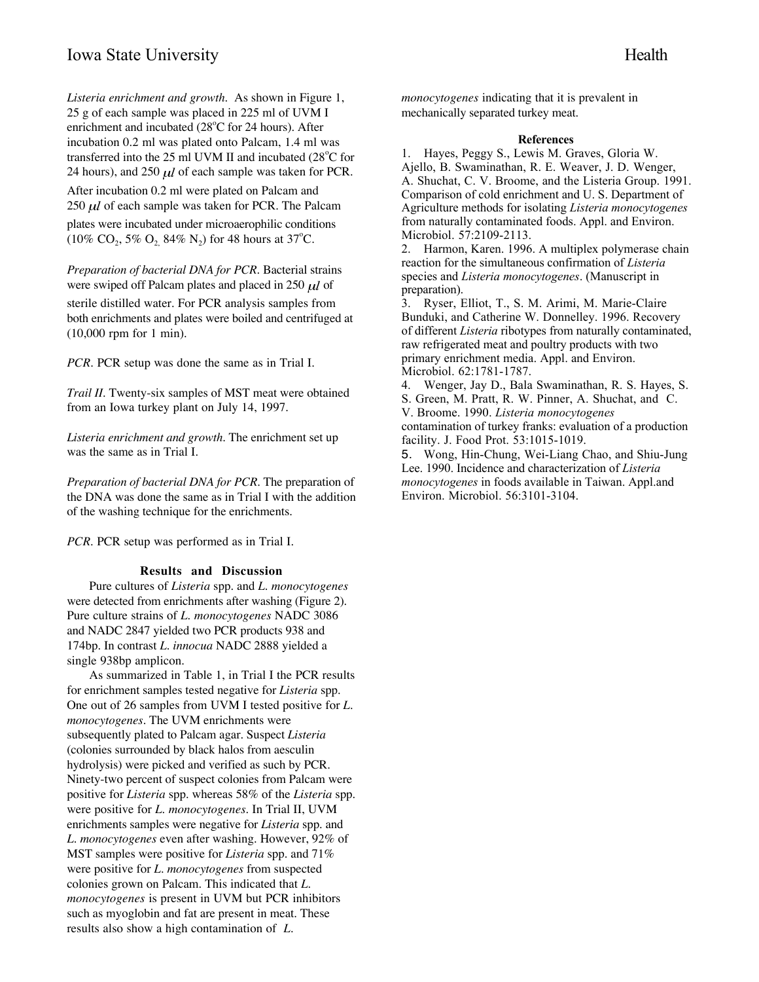*Listeria enrichment and growth*. As shown in Figure 1, 25 g of each sample was placed in 225 ml of UVM I enrichment and incubated  $(28^{\circ}$ C for 24 hours). After incubation 0.2 ml was plated onto Palcam, 1.4 ml was transferred into the 25 ml UVM II and incubated  $(28^{\circ}$ C for 24 hours), and 250  $\mu$ *l* of each sample was taken for PCR. After incubation 0.2 ml were plated on Palcam and  $250 \mu l$  of each sample was taken for PCR. The Palcam plates were incubated under microaerophilic conditions  $(10\% \text{ CO}_2, 5\% \text{ O}_2, 84\% \text{ N}_2)$  for 48 hours at 37<sup>o</sup>C.

*Preparation of bacterial DNA for PCR.* Bacterial strains were swiped off Palcam plates and placed in 250  $\mu$ *l* of sterile distilled water. For PCR analysis samples from both enrichments and plates were boiled and centrifuged at (10,000 rpm for 1 min).

*PCR*. PCR setup was done the same as in Trial I.

*Trail II*. Twenty-six samples of MST meat were obtained from an Iowa turkey plant on July 14, 1997.

*Listeria enrichment and growth*. The enrichment set up was the same as in Trial I.

*Preparation of bacterial DNA for PCR*. The preparation of the DNA was done the same as in Trial I with the addition of the washing technique for the enrichments.

*PCR.* PCR setup was performed as in Trial I.

### **Results and Discussion**

Pure cultures of *Listeria* spp. and *L. monocytogenes* were detected from enrichments after washing (Figure 2). Pure culture strains of *L. monocytogenes* NADC 3086 and NADC 2847 yielded two PCR products 938 and 174bp. In contrast *L. innocua* NADC 2888 yielded a single 938bp amplicon.

As summarized in Table 1, in Trial I the PCR results for enrichment samples tested negative for *Listeria* spp. One out of 26 samples from UVM I tested positive for *L. monocytogenes*. The UVM enrichments were subsequently plated to Palcam agar. Suspect *Listeria* (colonies surrounded by black halos from aesculin hydrolysis) were picked and verified as such by PCR. Ninety-two percent of suspect colonies from Palcam were positive for *Listeria* spp. whereas 58% of the *Listeria* spp. were positive for *L. monocytogenes*. In Trial II, UVM enrichments samples were negative for *Listeria* spp. and *L. monocytogenes* even after washing. However, 92% of MST samples were positive for *Listeria* spp. and 71% were positive for *L. monocytogenes* from suspected colonies grown on Palcam. This indicated that *L. monocytogenes* is present in UVM but PCR inhibitors such as myoglobin and fat are present in meat. These results also show a high contamination of *L.*

*monocytogenes* indicating that it is prevalent in mechanically separated turkey meat.

#### **References**

1. Hayes, Peggy S., Lewis M. Graves, Gloria W. Ajello, B. Swaminathan, R. E. Weaver, J. D. Wenger, A. Shuchat, C. V. Broome, and the Listeria Group. 1991. Comparison of cold enrichment and U. S. Department of Agriculture methods for isolating *Listeria monocytogenes* from naturally contaminated foods. Appl. and Environ. Microbiol. 57:2109-2113.

2. Harmon, Karen. 1996. A multiplex polymerase chain reaction for the simultaneous confirmation of *Listeria* species and *Listeria monocytogenes*. (Manuscript in preparation).

3. Ryser, Elliot, T., S. M. Arimi, M. Marie-Claire Bunduki, and Catherine W. Donnelley. 1996. Recovery of different *Listeria* ribotypes from naturally contaminated, raw refrigerated meat and poultry products with two primary enrichment media. Appl. and Environ. Microbiol. 62:1781-1787.

4. Wenger, Jay D., Bala Swaminathan, R. S. Hayes, S. S. Green, M. Pratt, R. W. Pinner, A. Shuchat, and C. V. Broome. 1990. *Listeria monocytogenes* contamination of turkey franks: evaluation of a production facility. J. Food Prot. 53:1015-1019.

5. Wong, Hin-Chung, Wei-Liang Chao, and Shiu-Jung Lee. 1990. Incidence and characterization of *Listeria monocytogenes* in foods available in Taiwan. Appl.and Environ. Microbiol. 56:3101-3104.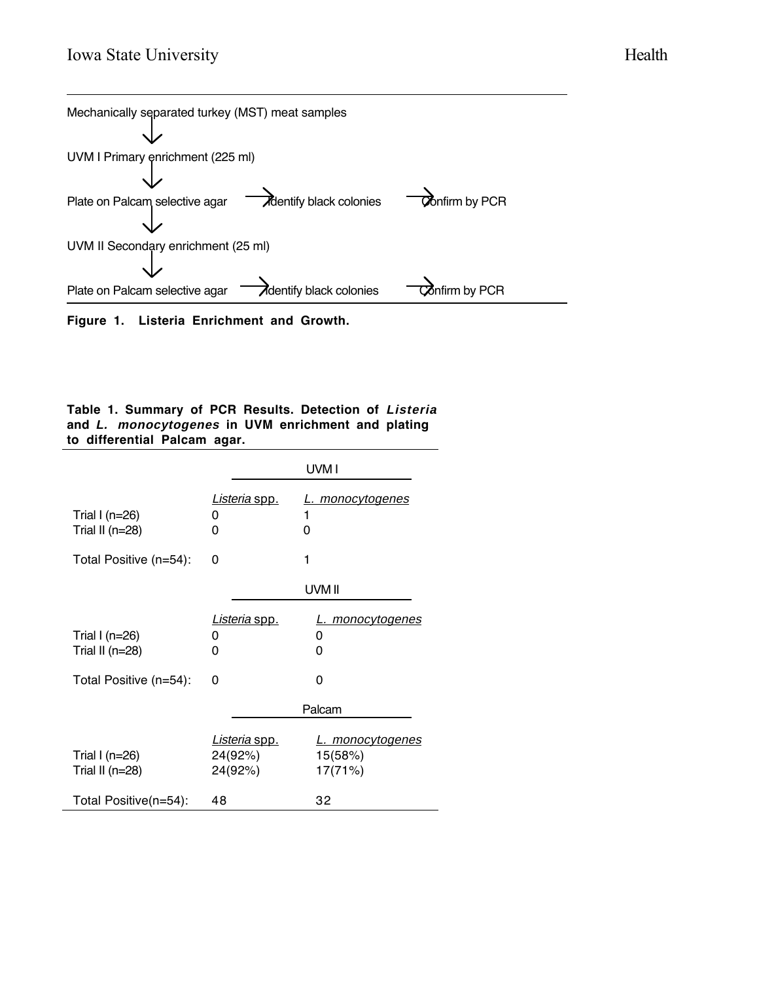



# **Table 1. Summary of PCR Results. Detection of Listeria and L. monocytogenes in UVM enrichment and plating to differential Palcam agar.**

|                                           | UVM I                                      |                                               |
|-------------------------------------------|--------------------------------------------|-----------------------------------------------|
| Trial I ( $n=26$ )<br>Trial II ( $n=28$ ) | Listeria spp.<br>0<br>0                    | L. monocytogenes<br>1<br>0                    |
| Total Positive (n=54):                    | 0                                          | 1                                             |
|                                           |                                            | UVM II                                        |
| Trial I ( $n=26$ )<br>Trial II $(n=28)$   | Listeria spp.<br>O<br>0                    | L. monocytogenes<br>0<br>0                    |
| Total Positive (n=54):                    | 0                                          | 0                                             |
|                                           |                                            | Palcam                                        |
| Trial I ( $n=26$ )<br>Trial II ( $n=28$ ) | <u>Listeria spp.</u><br>24(92%)<br>24(92%) | <u>L. monocytogenes</u><br>15(58%)<br>17(71%) |
| Total Positive(n=54):                     | 48                                         | 32                                            |